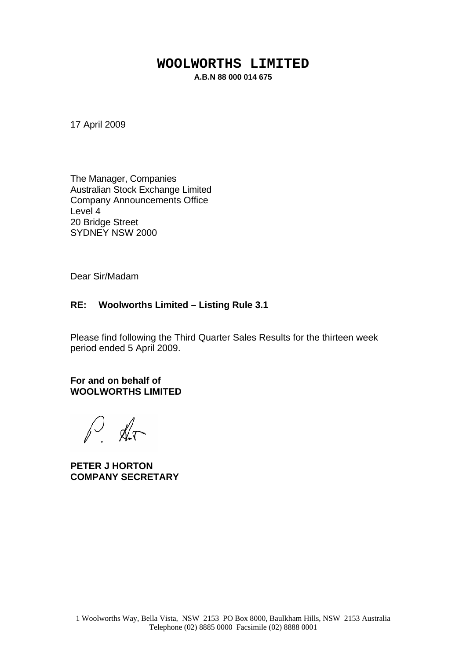#### **WOOLWORTHS LIMITED A.B.N 88 000 014 675**

17 April 2009

The Manager, Companies Australian Stock Exchange Limited Company Announcements Office Level 4 20 Bridge Street SYDNEY NSW 2000

Dear Sir/Madam

#### **RE: Woolworths Limited – Listing Rule 3.1**

Please find following the Third Quarter Sales Results for the thirteen week period ended 5 April 2009.

**For and on behalf of WOOLWORTHS LIMITED**

P. Ar

**PETER J HORTON COMPANY SECRETARY**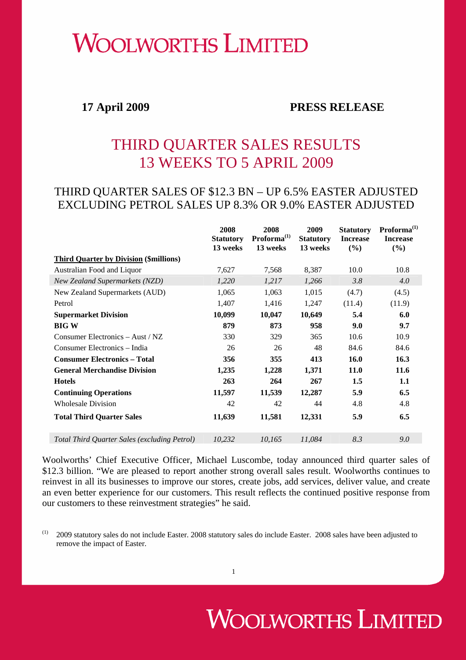## **WOOLWORTHS LIMITED**

#### **17 April 2009 PRESS RELEASE**

### THIRD QUARTER SALES RESULTS 13 WEEKS TO 5 APRIL 2009

#### THIRD QUARTER SALES OF \$12.3 BN – UP 6.5% EASTER ADJUSTED EXCLUDING PETROL SALES UP 8.3% OR 9.0% EASTER ADJUSTED

|                                               | 2008<br><b>Statutory</b><br>13 weeks | 2008<br>$Proforma^{(1)}$<br>13 weeks | 2009<br><b>Statutory</b><br>13 weeks | <b>Statutory</b><br><b>Increase</b><br>(%) | $Proforma^{(1)}$<br><b>Increase</b><br>(%) |
|-----------------------------------------------|--------------------------------------|--------------------------------------|--------------------------------------|--------------------------------------------|--------------------------------------------|
| <b>Third Quarter by Division (\$millions)</b> |                                      |                                      |                                      |                                            |                                            |
| Australian Food and Liquor                    | 7,627                                | 7,568                                | 8,387                                | 10.0                                       | 10.8                                       |
| <b>New Zealand Supermarkets (NZD)</b>         | 1,220                                | 1,217                                | 1,266                                | 3.8                                        | 4.0                                        |
| New Zealand Supermarkets (AUD)                | 1,065                                | 1,063                                | 1,015                                | (4.7)                                      | (4.5)                                      |
| Petrol                                        | 1,407                                | 1,416                                | 1,247                                | (11.4)                                     | (11.9)                                     |
| <b>Supermarket Division</b>                   | 10,099                               | 10,047                               | 10,649                               | 5.4                                        | 6.0                                        |
| <b>BIG W</b>                                  | 879                                  | 873                                  | 958                                  | 9.0                                        | 9.7                                        |
| Consumer Electronics $-$ Aust / NZ            | 330                                  | 329                                  | 365                                  | 10.6                                       | 10.9                                       |
| Consumer Electronics – India                  | 26                                   | 26                                   | 48                                   | 84.6                                       | 84.6                                       |
| <b>Consumer Electronics - Total</b>           | 356                                  | 355                                  | 413                                  | <b>16.0</b>                                | 16.3                                       |
| <b>General Merchandise Division</b>           | 1,235                                | 1,228                                | 1,371                                | 11.0                                       | 11.6                                       |
| <b>Hotels</b>                                 | 263                                  | 264                                  | 267                                  | 1.5                                        | 1.1                                        |
| <b>Continuing Operations</b>                  | 11,597                               | 11,539                               | 12,287                               | 5.9                                        | 6.5                                        |
| <b>Wholesale Division</b>                     | 42                                   | 42                                   | 44                                   | 4.8                                        | 4.8                                        |
| <b>Total Third Quarter Sales</b>              | 11,639                               | 11,581                               | 12,331                               | 5.9                                        | 6.5                                        |
| Total Third Quarter Sales (excluding Petrol)  | 10,232                               | 10,165                               | 11,084                               | 8.3                                        | 9.0                                        |

Woolworths' Chief Executive Officer, Michael Luscombe, today announced third quarter sales of \$12.3 billion. "We are pleased to report another strong overall sales result. Woolworths continues to reinvest in all its businesses to improve our stores, create jobs, add services, deliver value, and create an even better experience for our customers. This result reflects the continued positive response from our customers to these reinvestment strategies" he said.

 $(1)$  2009 statutory sales do not include Easter. 2008 statutory sales do include Easter. 2008 sales have been adjusted to remove the impact of Easter.

# **WOOLWORTHS LIMITED**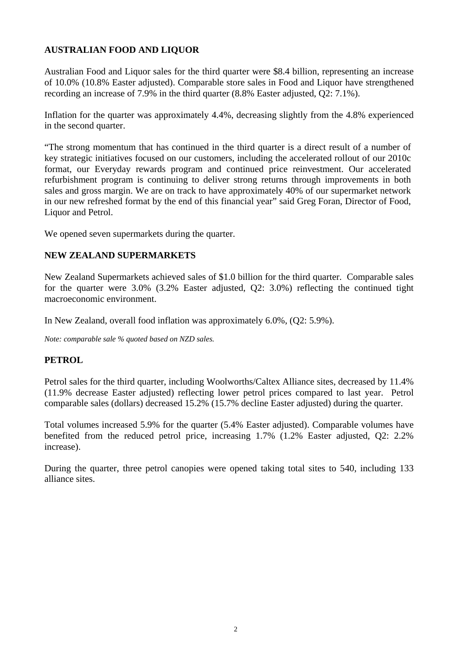#### **AUSTRALIAN FOOD AND LIQUOR**

Australian Food and Liquor sales for the third quarter were \$8.4 billion, representing an increase of 10.0% (10.8% Easter adjusted). Comparable store sales in Food and Liquor have strengthened recording an increase of 7.9% in the third quarter (8.8% Easter adjusted, Q2: 7.1%).

Inflation for the quarter was approximately 4.4%, decreasing slightly from the 4.8% experienced in the second quarter.

"The strong momentum that has continued in the third quarter is a direct result of a number of key strategic initiatives focused on our customers, including the accelerated rollout of our 2010c format, our Everyday rewards program and continued price reinvestment. Our accelerated refurbishment program is continuing to deliver strong returns through improvements in both sales and gross margin. We are on track to have approximately 40% of our supermarket network in our new refreshed format by the end of this financial year" said Greg Foran, Director of Food, Liquor and Petrol.

We opened seven supermarkets during the quarter.

#### **NEW ZEALAND SUPERMARKETS**

New Zealand Supermarkets achieved sales of \$1.0 billion for the third quarter. Comparable sales for the quarter were 3.0% (3.2% Easter adjusted, Q2: 3.0%) reflecting the continued tight macroeconomic environment.

In New Zealand, overall food inflation was approximately 6.0%, (Q2: 5.9%).

*Note: comparable sale % quoted based on NZD sales.* 

#### **PETROL**

Petrol sales for the third quarter, including Woolworths/Caltex Alliance sites, decreased by 11.4% (11.9% decrease Easter adjusted) reflecting lower petrol prices compared to last year. Petrol comparable sales (dollars) decreased 15.2% (15.7% decline Easter adjusted) during the quarter.

Total volumes increased 5.9% for the quarter (5.4% Easter adjusted). Comparable volumes have benefited from the reduced petrol price, increasing 1.7% (1.2% Easter adjusted, Q2: 2.2% increase).

During the quarter, three petrol canopies were opened taking total sites to 540, including 133 alliance sites.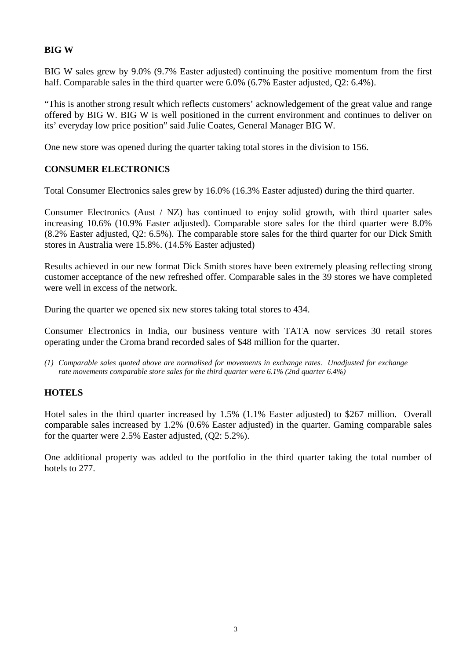#### **BIG W**

BIG W sales grew by 9.0% (9.7% Easter adjusted) continuing the positive momentum from the first half. Comparable sales in the third quarter were 6.0% (6.7% Easter adjusted, Q2: 6.4%).

"This is another strong result which reflects customers' acknowledgement of the great value and range offered by BIG W. BIG W is well positioned in the current environment and continues to deliver on its' everyday low price position" said Julie Coates, General Manager BIG W.

One new store was opened during the quarter taking total stores in the division to 156.

#### **CONSUMER ELECTRONICS**

Total Consumer Electronics sales grew by 16.0% (16.3% Easter adjusted) during the third quarter.

Consumer Electronics (Aust / NZ) has continued to enjoy solid growth, with third quarter sales increasing 10.6% (10.9% Easter adjusted). Comparable store sales for the third quarter were 8.0% (8.2% Easter adjusted, Q2: 6.5%). The comparable store sales for the third quarter for our Dick Smith stores in Australia were 15.8%. (14.5% Easter adjusted)

Results achieved in our new format Dick Smith stores have been extremely pleasing reflecting strong customer acceptance of the new refreshed offer. Comparable sales in the 39 stores we have completed were well in excess of the network.

During the quarter we opened six new stores taking total stores to 434.

Consumer Electronics in India, our business venture with TATA now services 30 retail stores operating under the Croma brand recorded sales of \$48 million for the quarter.

*(1) Comparable sales quoted above are normalised for movements in exchange rates. Unadjusted for exchange rate movements comparable store sales for the third quarter were 6.1% (2nd quarter 6.4%)* 

#### **HOTELS**

Hotel sales in the third quarter increased by 1.5% (1.1% Easter adjusted) to \$267 million. Overall comparable sales increased by 1.2% (0.6% Easter adjusted) in the quarter. Gaming comparable sales for the quarter were 2.5% Easter adjusted, (Q2: 5.2%).

One additional property was added to the portfolio in the third quarter taking the total number of hotels to 277.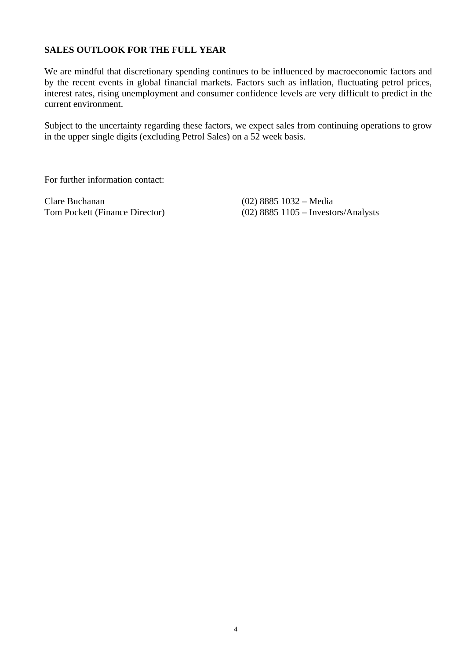#### **SALES OUTLOOK FOR THE FULL YEAR**

We are mindful that discretionary spending continues to be influenced by macroeconomic factors and by the recent events in global financial markets. Factors such as inflation, fluctuating petrol prices, interest rates, rising unemployment and consumer confidence levels are very difficult to predict in the current environment.

Subject to the uncertainty regarding these factors, we expect sales from continuing operations to grow in the upper single digits (excluding Petrol Sales) on a 52 week basis.

For further information contact:

Clare Buchanan (02) 8885 1032 – Media<br>
Tom Pockett (Finance Director) (02) 8885 1105 – Investo

 $(02)$  8885 1105 – Investors/Analysts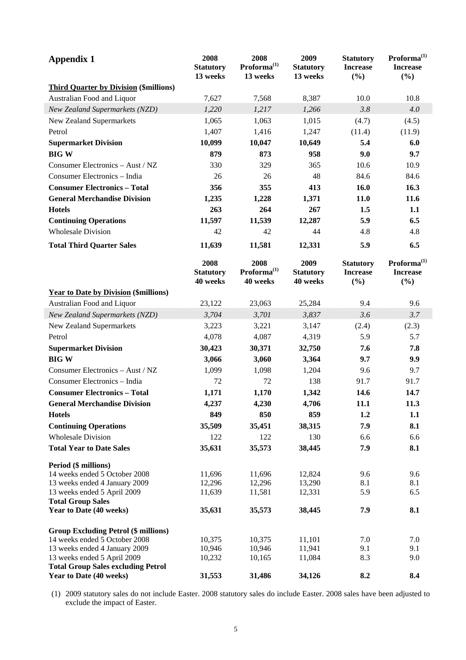| <b>Appendix 1</b>                                                        | 2008<br><b>Statutory</b><br>13 weeks | 2008<br>$Proforma^{(1)}$<br>13 weeks        | 2009<br><b>Statutory</b><br>13 weeks | <b>Statutory</b><br><b>Increase</b><br>(%) | Proforma <sup>(1)</sup><br><b>Increase</b><br>(%) |
|--------------------------------------------------------------------------|--------------------------------------|---------------------------------------------|--------------------------------------|--------------------------------------------|---------------------------------------------------|
| <b>Third Quarter by Division (\$millions)</b>                            |                                      |                                             |                                      |                                            |                                                   |
| Australian Food and Liquor                                               | 7,627                                | 7,568                                       | 8,387                                | 10.0                                       | 10.8                                              |
| New Zealand Supermarkets (NZD)                                           | 1,220                                | 1,217                                       | 1,266                                | 3.8                                        | 4.0                                               |
| New Zealand Supermarkets                                                 | 1,065                                | 1,063                                       | 1,015                                | (4.7)                                      | (4.5)                                             |
| Petrol                                                                   | 1,407                                | 1,416                                       | 1,247                                | (11.4)                                     | (11.9)                                            |
| <b>Supermarket Division</b>                                              | 10,099                               | 10,047                                      | 10,649                               | 5.4                                        | 6.0                                               |
| <b>BIGW</b>                                                              | 879                                  | 873                                         | 958                                  | 9.0                                        | 9.7                                               |
| Consumer Electronics - Aust / NZ                                         | 330                                  | 329                                         | 365                                  | 10.6                                       | 10.9                                              |
| Consumer Electronics - India                                             | 26                                   | 26                                          | 48                                   | 84.6                                       | 84.6                                              |
| <b>Consumer Electronics - Total</b>                                      | 356                                  | 355                                         | 413                                  | 16.0                                       | 16.3                                              |
| <b>General Merchandise Division</b>                                      | 1,235                                | 1,228                                       | 1,371                                | 11.0                                       | 11.6                                              |
| <b>Hotels</b>                                                            | 263                                  | 264                                         | 267                                  | 1.5                                        | 1.1                                               |
| <b>Continuing Operations</b>                                             | 11,597                               | 11,539                                      | 12,287                               | 5.9                                        | 6.5                                               |
| <b>Wholesale Division</b>                                                | 42                                   | 42                                          | 44                                   | 4.8                                        | 4.8                                               |
| <b>Total Third Quarter Sales</b>                                         | 11,639                               | 11,581                                      | 12,331                               | 5.9                                        | 6.5                                               |
|                                                                          | 2008<br><b>Statutory</b><br>40 weeks | 2008<br>Proforma <sup>(1)</sup><br>40 weeks | 2009<br><b>Statutory</b><br>40 weeks | <b>Statutory</b><br><b>Increase</b><br>(%) | Proforma <sup>(1)</sup><br><b>Increase</b><br>(%) |
| <b>Year to Date by Division (\$millions)</b>                             |                                      |                                             |                                      |                                            |                                                   |
| Australian Food and Liquor                                               | 23,122                               | 23,063                                      | 25,284                               | 9.4                                        | 9.6                                               |
| New Zealand Supermarkets (NZD)                                           | 3,704                                | 3,701                                       | 3,837                                | 3.6                                        | 3.7                                               |
| New Zealand Supermarkets                                                 | 3,223                                | 3,221                                       | 3,147                                | (2.4)                                      | (2.3)                                             |
| Petrol                                                                   | 4,078                                | 4,087                                       | 4,319                                | 5.9                                        | 5.7                                               |
| <b>Supermarket Division</b>                                              | 30,423                               | 30,371                                      | 32,750                               | 7.6                                        | 7.8                                               |
| <b>BIGW</b>                                                              | 3,066                                | 3,060                                       | 3,364                                | 9.7                                        | 9.9                                               |
| Consumer Electronics - Aust / NZ                                         | 1,099                                | 1,098                                       | 1,204                                | 9.6                                        | 9.7                                               |
| Consumer Electronics - India                                             | 72                                   | 72                                          | 138                                  | 91.7                                       | 91.7                                              |
| <b>Consumer Electronics - Total</b>                                      | 1,171                                | 1,170                                       | 1,342                                | 14.6                                       | 14.7                                              |
| <b>General Merchandise Division</b>                                      | 4,237                                | 4,230                                       | 4,706                                | 11.1                                       | 11.3                                              |
| <b>Hotels</b>                                                            | 849                                  | 850                                         | 859                                  | 1.2                                        | 1.1                                               |
| <b>Continuing Operations</b>                                             | 35,509                               | 35,451                                      | 38,315                               | 7.9                                        | 8.1                                               |
| <b>Wholesale Division</b>                                                | 122                                  | 122                                         | 130                                  | 6.6                                        | 6.6                                               |
| <b>Total Year to Date Sales</b>                                          | 35,631                               | 35,573                                      | 38,445                               | 7.9                                        | 8.1                                               |
| Period (\$ millions)                                                     |                                      |                                             |                                      |                                            |                                                   |
| 14 weeks ended 5 October 2008                                            | 11,696                               | 11,696                                      | 12,824                               | 9.6                                        | 9.6                                               |
| 13 weeks ended 4 January 2009                                            | 12,296                               | 12,296                                      | 13,290                               | 8.1                                        | 8.1                                               |
| 13 weeks ended 5 April 2009<br><b>Total Group Sales</b>                  | 11,639                               | 11,581                                      | 12,331                               | 5.9                                        | 6.5                                               |
| Year to Date (40 weeks)                                                  | 35,631                               | 35,573                                      | 38,445                               | 7.9                                        | 8.1                                               |
| <b>Group Excluding Petrol (\$ millions)</b>                              |                                      |                                             |                                      |                                            |                                                   |
| 14 weeks ended 5 October 2008                                            | 10,375                               | 10,375                                      | 11,101                               | 7.0                                        | 7.0                                               |
| 13 weeks ended 4 January 2009                                            | 10,946                               | 10,946                                      | 11,941                               | 9.1                                        | 9.1                                               |
| 13 weeks ended 5 April 2009<br><b>Total Group Sales excluding Petrol</b> | 10,232                               | 10,165                                      | 11,084                               | 8.3                                        | 9.0                                               |
| Year to Date (40 weeks)                                                  | 31,553                               | 31,486                                      | 34,126                               | 8.2                                        | 8.4                                               |

(1) 2009 statutory sales do not include Easter. 2008 statutory sales do include Easter. 2008 sales have been adjusted to exclude the impact of Easter.